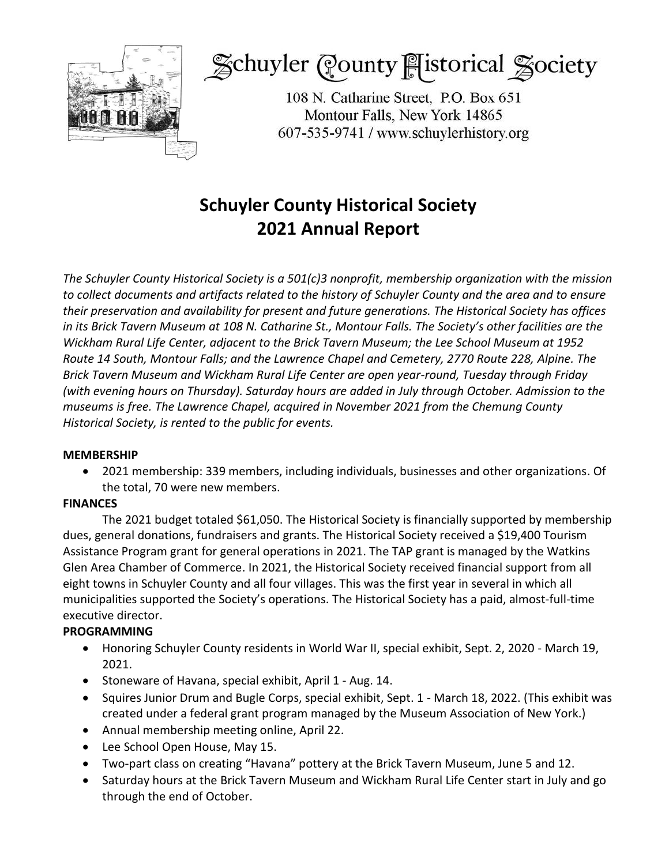

Schuyler County listorical Society

108 N. Catharine Street, P.O. Box 651 Montour Falls, New York 14865 607-535-9741 / www.schuylerhistory.org

## **Schuyler County Historical Society 2021 Annual Report**

*The Schuyler County Historical Society is a 501(c)3 nonprofit, membership organization with the mission to collect documents and artifacts related to the history of Schuyler County and the area and to ensure their preservation and availability for present and future generations. The Historical Society has offices in its Brick Tavern Museum at 108 N. Catharine St., Montour Falls. The Society's other facilities are the Wickham Rural Life Center, adjacent to the Brick Tavern Museum; the Lee School Museum at 1952 Route 14 South, Montour Falls; and the Lawrence Chapel and Cemetery, 2770 Route 228, Alpine. The Brick Tavern Museum and Wickham Rural Life Center are open year-round, Tuesday through Friday (with evening hours on Thursday). Saturday hours are added in July through October. Admission to the museums is free. The Lawrence Chapel, acquired in November 2021 from the Chemung County Historical Society, is rented to the public for events.*

#### **MEMBERSHIP**

 2021 membership: 339 members, including individuals, businesses and other organizations. Of the total, 70 were new members.

#### **FINANCES**

The 2021 budget totaled \$61,050. The Historical Society is financially supported by membership dues, general donations, fundraisers and grants. The Historical Society received a \$19,400 Tourism Assistance Program grant for general operations in 2021. The TAP grant is managed by the Watkins Glen Area Chamber of Commerce. In 2021, the Historical Society received financial support from all eight towns in Schuyler County and all four villages. This was the first year in several in which all municipalities supported the Society's operations. The Historical Society has a paid, almost-full-time executive director.

### **PROGRAMMING**

- Honoring Schuyler County residents in World War II, special exhibit, Sept. 2, 2020 March 19, 2021.
- Stoneware of Havana, special exhibit, April 1 Aug. 14.
- Squires Junior Drum and Bugle Corps, special exhibit, Sept. 1 March 18, 2022. (This exhibit was created under a federal grant program managed by the Museum Association of New York.)
- Annual membership meeting online, April 22.
- Lee School Open House, May 15.
- Two-part class on creating "Havana" pottery at the Brick Tavern Museum, June 5 and 12.
- Saturday hours at the Brick Tavern Museum and Wickham Rural Life Center start in July and go through the end of October.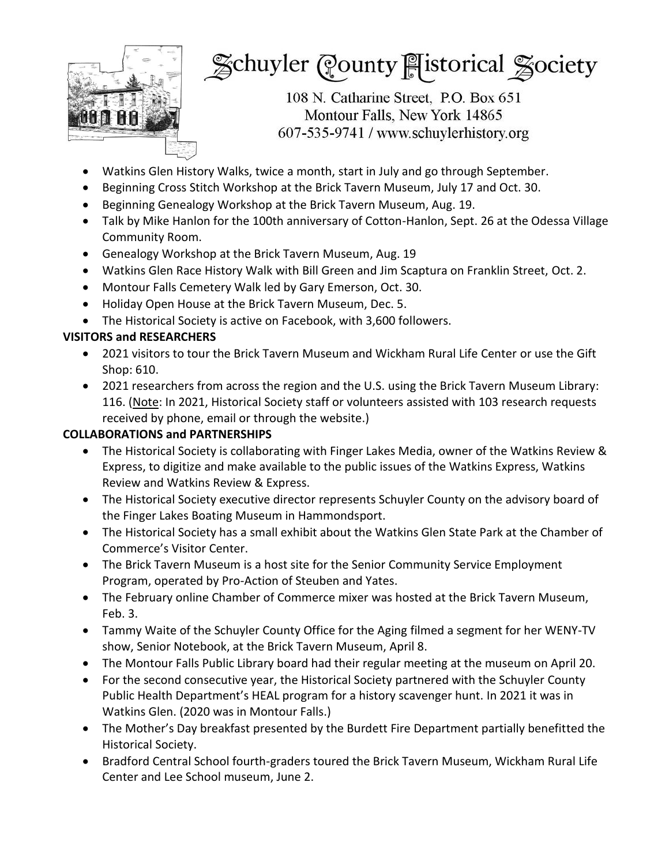

# Schuyler County Fistorical Society

108 N. Catharine Street, P.O. Box 651 Montour Falls, New York 14865 607-535-9741 / www.schuylerhistory.org

- Watkins Glen History Walks, twice a month, start in July and go through September.
- Beginning Cross Stitch Workshop at the Brick Tavern Museum, July 17 and Oct. 30.
- Beginning Genealogy Workshop at the Brick Tavern Museum, Aug. 19.
- Talk by Mike Hanlon for the 100th anniversary of Cotton-Hanlon, Sept. 26 at the Odessa Village Community Room.
- Genealogy Workshop at the Brick Tavern Museum, Aug. 19
- Watkins Glen Race History Walk with Bill Green and Jim Scaptura on Franklin Street, Oct. 2.
- Montour Falls Cemetery Walk led by Gary Emerson, Oct. 30.
- Holiday Open House at the Brick Tavern Museum, Dec. 5.
- The Historical Society is active on Facebook, with 3,600 followers.

### **VISITORS and RESEARCHERS**

- 2021 visitors to tour the Brick Tavern Museum and Wickham Rural Life Center or use the Gift Shop: 610.
- 2021 researchers from across the region and the U.S. using the Brick Tavern Museum Library: 116. (Note: In 2021, Historical Society staff or volunteers assisted with 103 research requests received by phone, email or through the website.)

### **COLLABORATIONS and PARTNERSHIPS**

- The Historical Society is collaborating with Finger Lakes Media, owner of the Watkins Review & Express, to digitize and make available to the public issues of the Watkins Express, Watkins Review and Watkins Review & Express.
- The Historical Society executive director represents Schuyler County on the advisory board of the Finger Lakes Boating Museum in Hammondsport.
- The Historical Society has a small exhibit about the Watkins Glen State Park at the Chamber of Commerce's Visitor Center.
- The Brick Tavern Museum is a host site for the Senior Community Service Employment Program, operated by Pro-Action of Steuben and Yates.
- The February online Chamber of Commerce mixer was hosted at the Brick Tavern Museum, Feb. 3.
- Tammy Waite of the Schuyler County Office for the Aging filmed a segment for her WENY-TV show, Senior Notebook, at the Brick Tavern Museum, April 8.
- The Montour Falls Public Library board had their regular meeting at the museum on April 20.
- For the second consecutive year, the Historical Society partnered with the Schuyler County Public Health Department's HEAL program for a history scavenger hunt. In 2021 it was in Watkins Glen. (2020 was in Montour Falls.)
- The Mother's Day breakfast presented by the Burdett Fire Department partially benefitted the Historical Society.
- Bradford Central School fourth-graders toured the Brick Tavern Museum, Wickham Rural Life Center and Lee School museum, June 2.